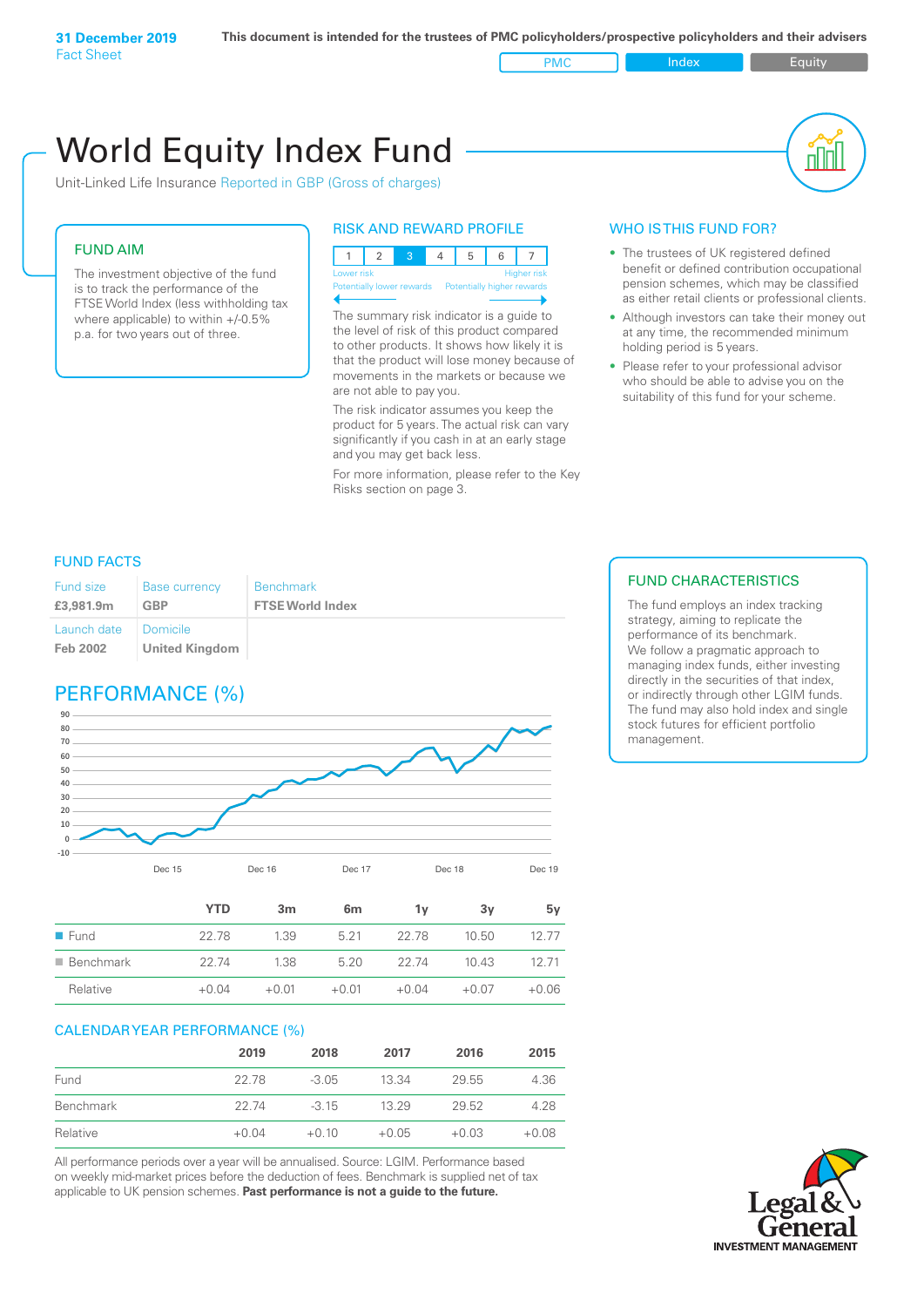PMC Index PMC Equity

# World Equity Index Fund

Unit-Linked Life Insurance Reported in GBP (Gross of charges)

## FUND AIM

The investment objective of the fund is to track the performance of the FTSE World Index (less withholding tax where applicable) to within +/-0.5% p.a. for two years out of three.

## RISK AND REWARD PROFILE



Potentially lower rewards Potentially higher rewards

The summary risk indicator is a guide to the level of risk of this product compared to other products. It shows how likely it is that the product will lose money because of movements in the markets or because we are not able to pay you.

The risk indicator assumes you keep the product for 5 years. The actual risk can vary significantly if you cash in at an early stage and you may get back less.

For more information, please refer to the Key Risks section on page 3.

## WHO IS THIS FUND FOR?

- The trustees of UK registered defined benefit or defined contribution occupational pension schemes, which may be classified as either retail clients or professional clients.
- Although investors can take their money out at any time, the recommended minimum holding period is 5 years.
- Please refer to your professional advisor who should be able to advise you on the suitability of this fund for your scheme.

## FUND FACTS

| Fund size               | <b>Base currency</b>                     | <b>Benchmark</b>        |
|-------------------------|------------------------------------------|-------------------------|
| £3,981.9m               | <b>GBP</b>                               | <b>FTSE World Index</b> |
| Launch date<br>Feb 2002 | <b>Domicile</b><br><b>United Kingdom</b> |                         |

## PERFORMANCE (%)



|                          | <b>YTD</b> | 3m      | 6 <sub>m</sub> | 1v      | 3ν      | 5v      |
|--------------------------|------------|---------|----------------|---------|---------|---------|
| $\blacksquare$ Fund      | 22.78      | 1.39    | 5 21           | 22.78   | 10.50   | 12.77   |
| $\blacksquare$ Benchmark | 22.74      | 1.38    | 5.20           | 22.74   | 10.43   | 12 71   |
| Relative                 | $+0.04$    | $+0.01$ | $+0.01$        | $+0.04$ | $+0.07$ | $+0.06$ |

## CALENDAR YEAR PERFORMANCE (%)

|           | 2019    | 2018    | 2017    | 2016    | 2015    |
|-----------|---------|---------|---------|---------|---------|
| Fund      | 22.78   | $-3.05$ | 13.34   | 29.55   | 4.36    |
| Benchmark | 22.74   | $-315$  | 13 29   | 29.52   | 4.28    |
| Relative  | $+0.04$ | $+0.10$ | $+0.05$ | $+0.03$ | $+0.08$ |

All performance periods over a year will be annualised. Source: LGIM. Performance based on weekly mid-market prices before the deduction of fees. Benchmark is supplied net of tax applicable to UK pension schemes. **Past performance is not a guide to the future.**

## FUND CHARACTERISTICS

The fund employs an index tracking strategy, aiming to replicate the performance of its benchmark. We follow a pragmatic approach to managing index funds, either investing directly in the securities of that index, or indirectly through other LGIM funds. The fund may also hold index and single stock futures for efficient portfolio management.

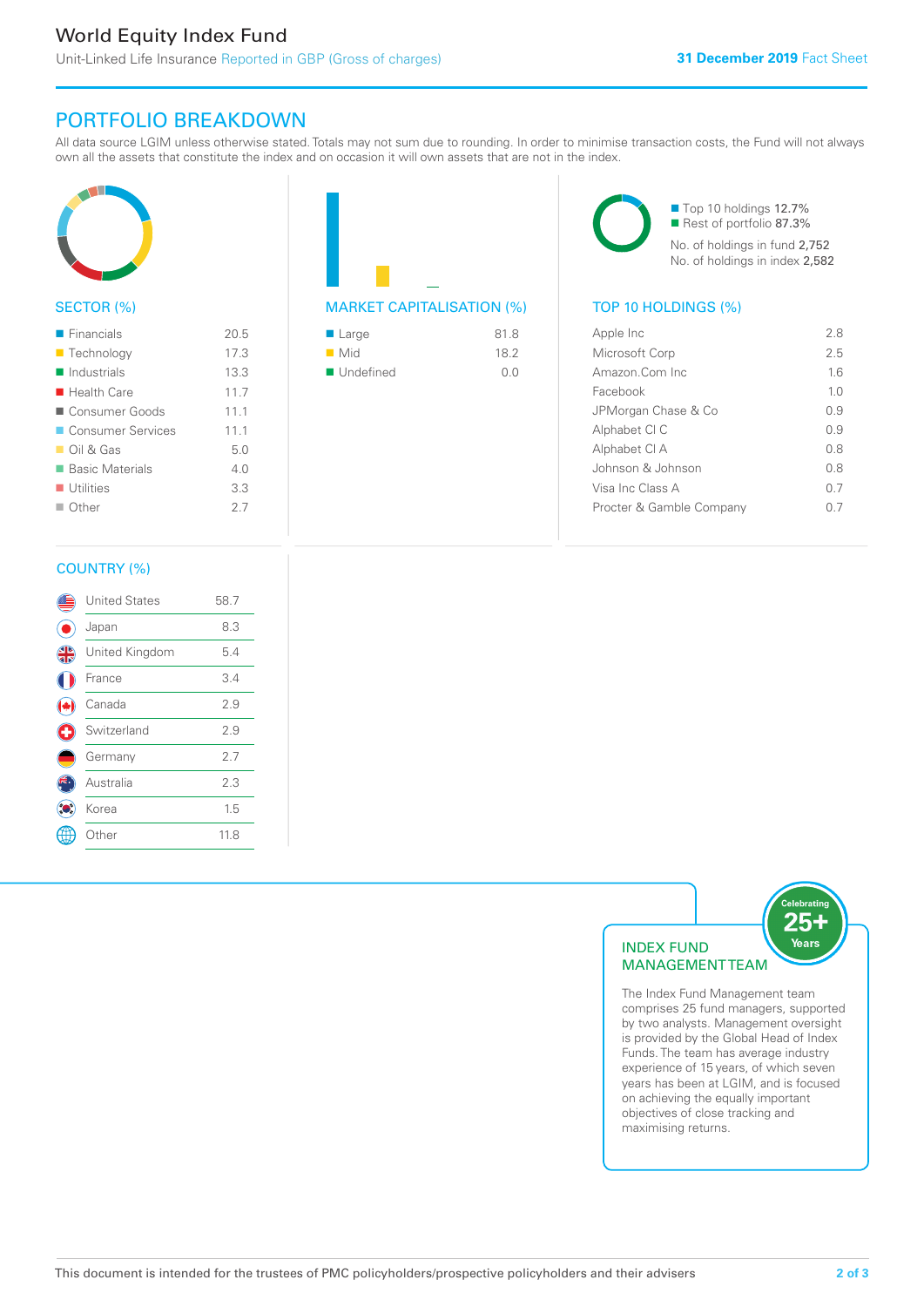## PORTFOLIO BREAKDOWN

All data source LGIM unless otherwise stated. Totals may not sum due to rounding. In order to minimise transaction costs, the Fund will not always own all the assets that constitute the index and on occasion it will own assets that are not in the index.



## SECTOR (%)

| $\blacksquare$ Financials  | 20.5 |
|----------------------------|------|
| ■ Technology               | 17.3 |
| $\blacksquare$ Industrials | 13.3 |
| $\blacksquare$ Health Care | 11.7 |
| ■ Consumer Goods           | 11.1 |
| ■ Consumer Services        | 11.1 |
| $\Box$ Oil & Gas           | 5.0  |
| ■ Basic Materials          | 4.0  |
| $\blacksquare$ Utilities   | 3.3  |
| $\Box$ Other               | 27   |
|                            |      |



| $\blacksquare$ Large     | 81.8 |
|--------------------------|------|
| $\blacksquare$ Mid       | 18.2 |
| $\blacksquare$ Undefined | O O  |

■ Top 10 holdings 12.7% Rest of portfolio 87.3% No. of holdings in fund 2,752 No. of holdings in index 2,582

| Apple Inc                | 28             |
|--------------------------|----------------|
| Microsoft Corp           | 25             |
| Amazon Com Inc           | 16             |
| Facebook                 | 1 <sub>0</sub> |
| JPMorgan Chase & Co      | O 9            |
| Alphabet CI C            | 09             |
| Alphabet CI A            | 0 S            |
| Johnson & Johnson        | 0 S            |
| Visa Inc Class A         | 0 7            |
| Procter & Gamble Company |                |
|                          |                |

## COUNTRY (%)

|   | <b>United States</b> | 58.7 |  |
|---|----------------------|------|--|
|   | Japan                | 8.3  |  |
| 4 | United Kingdom       | 5.4  |  |
|   | France               | 3.4  |  |
|   | Canada               | 2.9  |  |
| G | Switzerland          | 2.9  |  |
|   | Germany              | 2.7  |  |
|   | Australia            | 2.3  |  |
|   | Korea                | 1.5  |  |
|   | Other                | 11.8 |  |
|   |                      |      |  |



The Index Fund Management team comprises 25 fund managers, supported by two analysts. Management oversight is provided by the Global Head of Index Funds. The team has average industry experience of 15 years, of which seven years has been at LGIM, and is focused on achieving the equally important objectives of close tracking and maximising returns.